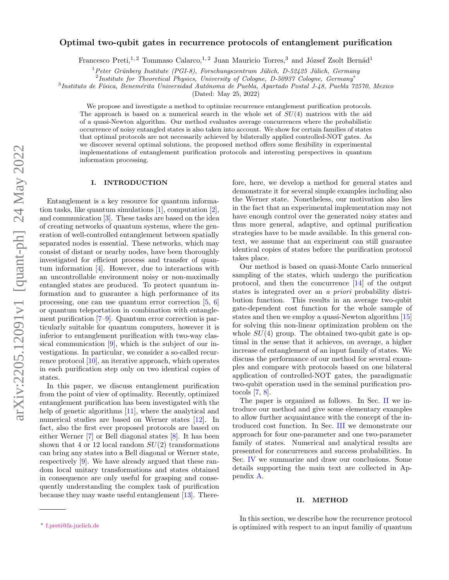# arXiv:2205.12091v1 [quant-ph] 24 May 2022 arXiv:2205.12091v1 [quant-ph] 24 May 2022

# Optimal two-qubit gates in recurrence protocols of entanglement purification

Francesco Preti,<sup>1, 2</sup> Tommaso Calarco,<sup>1, 2</sup> Juan Mauricio Torres,<sup>3</sup> and József Zsolt Bernád<sup>1</sup>

 $1$ Peter Grünberg Institute (PGI-8), Forschungszentrum Jülich, D-52425 Jülich, Germany

2 Institute for Theoretical Physics, University of Cologne, D-50937 Cologne, Germany[∗](#page-0-0)

<sup>3</sup>Instituto de Física, Benemérita Universidad Autónoma de Puebla, Apartado Postal J-48, Puebla 72570, Mexico

(Dated: May 25, 2022)

We propose and investigate a method to optimize recurrence entanglement purification protocols. The approach is based on a numerical search in the whole set of  $SU(4)$  matrices with the aid of a quasi-Newton algorithm. Our method evaluates average concurrences where the probabilistic occurrence of noisy entangled states is also taken into account. We show for certain families of states that optimal protocols are not necessarily achieved by bilaterally applied controlled-NOT gates. As we discover several optimal solutions, the proposed method offers some flexibility in experimental implementations of entanglement purification protocols and interesting perspectives in quantum information processing.

# I. INTRODUCTION

Entanglement is a key resource for quantum information tasks, like quantum simulations [\[1\]](#page-9-0), computation [\[2\]](#page-9-1), and communication [\[3\]](#page-9-2). These tasks are based on the idea of creating networks of quantum systems, where the generation of well-controlled entanglement between spatially separated nodes is essential. These networks, which may consist of distant or nearby nodes, have been thoroughly investigated for efficient process and transfer of quantum information [\[4\]](#page-10-0). However, due to interactions with an uncontrollable environment noisy or non-maximally entangled states are produced. To protect quantum information and to guarantee a high performance of its processing, one can use quantum error correction [\[5,](#page-10-1) [6\]](#page-10-2) or quantum teleportation in combination with entanglement purification [\[7–](#page-10-3)[9\]](#page-10-4). Quantum error correction is particularly suitable for quantum computers, however it is inferior to entanglement purification with two-way classical communication [\[9\]](#page-10-4), which is the subject of our investigations. In particular, we consider a so-called recurrence protocol [\[10\]](#page-10-5), an iterative approach, which operates in each purification step only on two identical copies of states.

In this paper, we discuss entanglement purification from the point of view of optimality. Recently, optimized entanglement purification has been investigated with the help of genetic algorithms [\[11\]](#page-10-6), where the analytical and numerical studies are based on Werner states [\[12\]](#page-10-7). In fact, also the first ever proposed protocols are based on either Werner [\[7\]](#page-10-3) or Bell diagonal states [\[8\]](#page-10-8). It has been shown that 4 or 12 local random  $SU(2)$  transformations can bring any states into a Bell diagonal or Werner state, respectively [\[9\]](#page-10-4). We have already argued that these random local unitary transformations and states obtained in consequence are only useful for grasping and consequently understanding the complex task of purification because they may waste useful entanglement [\[13\]](#page-10-9). There-

Our method is based on quasi-Monte Carlo numerical sampling of the states, which undergo the purification protocol, and then the concurrence [\[14\]](#page-10-10) of the output states is integrated over an a priori probability distribution function. This results in an average two-qubit gate-dependent cost function for the whole sample of states and then we employ a quasi-Newton algorithm [\[15\]](#page-10-11) for solving this non-linear optimization problem on the whole  $SU(4)$  group. The obtained two-qubit gate is optimal in the sense that it achieves, on average, a higher increase of entanglement of an input family of states. We discuss the performance of our method for several examples and compare with protocols based on one bilateral application of controlled-NOT gates, the paradigmatic two-qubit operation used in the seminal purification protocols [\[7,](#page-10-3) [8\]](#page-10-8).

The paper is organized as follows. In Sec. [II](#page-0-1) we introduce our method and give some elementary examples to allow further acquaintance with the concept of the introduced cost function. In Sec. [III](#page-4-0) we demonstrate our approach for four one-parameter and one two-parameter family of states. Numerical and analytical results are presented for concurrences and success probabilities. In Sec. [IV](#page-7-0) we summarize and draw our conclusions. Some details supporting the main text are collected in Appendix [A.](#page-9-3)

### <span id="page-0-1"></span>II. METHOD

In this section, we describe how the recurrence protocol is optimized with respect to an input familiy of quantum

fore, here, we develop a method for general states and demonstrate it for several simple examples including also the Werner state. Nonetheless, our motivation also lies in the fact that an experimental implementation may not have enough control over the generated noisy states and thus more general, adaptive, and optimal purification strategies have to be made available. In this general context, we assume that an experiment can still guarantee identical copies of states before the purification protocol takes place.

<span id="page-0-0"></span><sup>∗</sup> [f.preti@fz-juelich.de](mailto:f.preti@fz-juelich.de)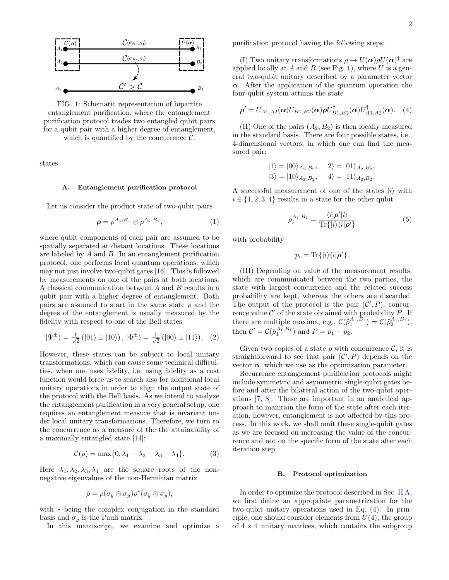<span id="page-1-0"></span>

FIG. 1: Schematic representation of bipartite entanglement purification, where the entanglement purification protocol trades two entangled qubit pairs for a qubit pair with a higher degree of entanglement, which is quantified by the concurrence  $\mathcal{C}$ .

states.

### <span id="page-1-1"></span>A. Entanglement purification protocol

Let us consider the product state of two-qubit pairs

$$
\boldsymbol{\rho} = \rho^{A_1, B_1} \otimes \rho^{A_2, B_2},\tag{1}
$$

where qubit components of each pair are assumed to be spatially separated at distant locations. These locations are labeled by A and B. In an entanglement purification protocol, one performs local quantum operations, which may not just involve two-qubit gates [\[16\]](#page-10-12). This is followed by measurements on one of the pairs at both locations. A classical communication between A and B results in a qubit pair with a higher degree of entanglement. Both pairs are assumed to start in the same state  $\rho$  and the degree of the entanglement is usually measured by the fidelity with respect to one of the Bell states

$$
|\Psi^{\pm}\rangle = \frac{1}{\sqrt{2}} (|01\rangle \pm |10\rangle), |\Phi^{\pm}\rangle = \frac{1}{\sqrt{2}} (|00\rangle \pm |11\rangle). (2)
$$

However, these states can be subject to local unitary transformations, which can cause some technical difficulties, when one uses fidelity, i.e. using fidelity as a cost function would force us to search also for additional local unitary operations in order to align the output state of the protocol with the Bell basis. As we intend to analyze the entanglement purification in a very general setup, one requires an entanglement measure that is invariant under local unitary transformations. Therefore, we turn to the concurrence as a measure of the the attainability of a maximally entangled state [\[14\]](#page-10-10):

$$
\mathcal{C}(\rho) = \max\{0, \lambda_1 - \lambda_2 - \lambda_3 - \lambda_4\}.
$$
 (3)

Here  $\lambda_1, \lambda_2, \lambda_3, \lambda_4$  are the square roots of the nonnegative eigenvalues of the non-Hermitian matrix

<span id="page-1-2"></span>
$$
\tilde{\rho} = \rho(\sigma_y \otimes \sigma_y)\rho^*(\sigma_y \otimes \sigma_y),
$$

with ∗ being the complex conjugation in the standard basis and  $\sigma_y$  is the Pauli matrix.

In this manuscript, we examine and optimize a

purification protocol having the following steps:

(I) Two unitary transformations  $\rho \to U(\alpha)\rho U(\alpha)^\dagger$  are applied locally at  $A$  and  $B$  (see Fig. [1\)](#page-1-0), where  $U$  is a general two-qubit unitary described by a parameter vector  $\alpha$ . After the application of the quantum operation the four-qubit system attains the state

$$
\rho' = U_{A1,A2}(\alpha)U_{B1,B2}(\alpha)\rho U_{B1,B2}^{\dagger}(\alpha)U_{A1,A2}^{\dagger}(\alpha).
$$
 (4)

(II) One of the pairs  $(A_2, B_2)$  is then locally measured in the standard basis. There are four possible states, i.e., 4-dimensional vectors, in which one can find the measured pair:

$$
|1\rangle = |00\rangle_{A_2,B_2}, \quad |2\rangle = |01\rangle_{A_2,B_2},
$$
  

$$
|3\rangle = |10\rangle_{A_2,B_2}, \quad |4\rangle = |11\rangle_{A_2,B_2}.
$$

A successful measurement of one of the states  $|i\rangle$  with  $i \in \{1, 2, 3, 4\}$  results in a state for the other qubit

$$
\tilde{\rho}_i^{A_1, B_1} = \frac{\langle i|\boldsymbol{\rho}'|i\rangle}{\text{Tr}\{|i\rangle\langle i|\boldsymbol{\rho}'\}}\tag{5}
$$

with probability

<span id="page-1-3"></span>
$$
p_i = \text{Tr}\{|i\rangle\langle i|\boldsymbol{\rho}'\}.
$$

(III) Depending on value of the measurement results, which are communicated between the two parties, the state with largest concurrence and the related success probability are kept, whereas the others are discarded. The output of the protocol is the pair  $(\mathcal{C}', P)$ , concurrence value  $\mathcal{C}'$  of the state obtained with probability  $P$ . If there are multiple maxima, e.g.,  $\mathcal{C}(\tilde{\rho}_1^{A_1,B_1}) = \mathcal{C}(\tilde{\rho}_2^{A_1,B_1}),$ then  $C' = C(\tilde{\rho}_1^{A_1, B_1})$  and  $P = p_1 + p_2$ .

Given two copies of a state  $\rho$  with concurrence  $\mathcal{C}$ , it is straightforward to see that pair  $(C', P)$  depends on the vector  $\alpha$ , which we use as the optimization parameter.

Recurrence entanglement purification protocols might include symmetric and asymmetric single-qubit gates before and after the bilateral action of the two-qubit operations [\[7,](#page-10-3) [8\]](#page-10-8). These are important in an analytical approach to maintain the form of the state after each iteration, however, entanglement is not affected by this process. In this work, we shall omit these single-qubit gates as we are focused on increasing the value of the concurrence and not on the specific form of the state after each iteration step.

### B. Protocol optimization

In order to optimize the protocol described in Sec. [II A,](#page-1-1) we first define an appropriate parametrization for the two-qubit unitary operations used in Eq. [\(4\)](#page-1-2). In principle, one should consider elements from  $U(4)$ , the group of  $4 \times 4$  unitary matrices, which contains the subgroup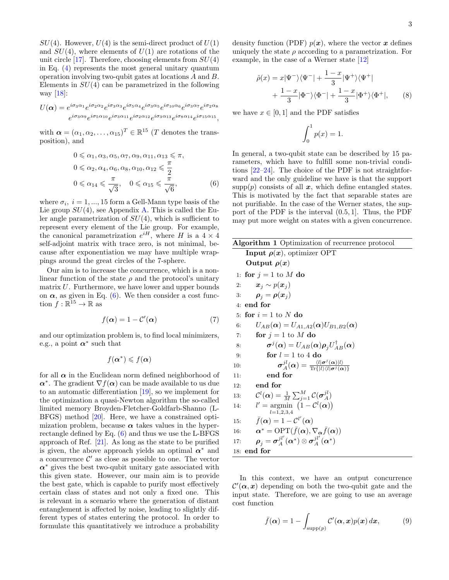$SU(4)$ . However,  $U(4)$  is the semi-direct product of  $U(1)$ and  $SU(4)$ , where elements of  $U(1)$  are rotations of the unit circle [\[17\]](#page-10-13). Therefore, choosing elements from  $SU(4)$ in Eq. [\(4\)](#page-1-2) represents the most general unitary quantum operation involving two-qubit gates at locations A and B. Elements in  $SU(4)$  can be parametrized in the following way  $[18]$ :

$$
U(\alpha) = e^{i\sigma_3\alpha_1}e^{i\sigma_2\alpha_2}e^{i\sigma_3\alpha_3}e^{i\sigma_5\alpha_4}e^{i\sigma_3\alpha_5}e^{i\sigma_{10}\alpha_6}e^{i\sigma_3\alpha_7}e^{i\sigma_2\alpha_8}
$$
  

$$
e^{i\sigma_3\alpha_9}e^{i\sigma_5\alpha_{10}}e^{i\sigma_3\alpha_{11}}e^{i\sigma_2\alpha_{12}}e^{i\sigma_3\alpha_{13}}e^{i\sigma_8\alpha_{14}}e^{i\sigma_{15}\alpha_{15}},
$$

with  $\boldsymbol{\alpha} = (\alpha_1, \alpha_2, \dots, \alpha_{15})^T \in \mathbb{R}^{15}$  (*T* denotes the transposition), and

$$
0 \leq \alpha_1, \alpha_3, \alpha_5, \alpha_7, \alpha_9, \alpha_{11}, \alpha_{13} \leq \pi,
$$
  
\n
$$
0 \leq \alpha_2, \alpha_4, \alpha_6, \alpha_8, \alpha_{10}, \alpha_{12} \leq \frac{\pi}{2}
$$
  
\n
$$
0 \leq \alpha_{14} \leq \frac{\pi}{\sqrt{3}}, \quad 0 \leq \alpha_{15} \leq \frac{\pi}{\sqrt{6}},
$$
 (6)

where  $\sigma_i$ ,  $i = 1, ..., 15$  form a Gell-Mann type basis of the Lie group  $SU(4)$ , see Appendix [A.](#page-9-3) This is called the Euler angle parametrization of  $SU(4)$ , which is sufficient to represent every element of the Lie group. For example, the canonical parametrization  $e^{iH}$ , where H is a  $4 \times 4$ self-adjoint matrix with trace zero, is not minimal, because after exponentiation we may have multiple wrappings around the great circles of the 7-sphere.

Our aim is to increase the concurrence, which is a nonlinear function of the state  $\rho$  and the protocol's unitary matrix U. Furthermore, we have lower and upper bounds on  $\alpha$ , as given in Eq. [\(6\)](#page-1-3). We then consider a cost function  $f : \mathbb{R}^{15} \to \mathbb{R}$  as

$$
f(\alpha) = 1 - \mathcal{C}'(\alpha) \tag{7}
$$

and our optimization problem is, to find local minimizers, e.g., a point  $\alpha^*$  such that

<span id="page-2-2"></span>
$$
f(\boldsymbol{\alpha}^*) \leqslant f(\boldsymbol{\alpha})
$$

for all  $\alpha$  in the Euclidean norm defined neighborhood of  $\alpha^*$ . The gradient  $\nabla f(\alpha)$  can be made available to us due to an automatic differentiation [\[19\]](#page-10-15), so we implement for the optimization a quasi-Newton algorithm the so-called limited memory Broyden-Fletcher-Goldfarb-Shanno (L-BFGS) method [\[20\]](#page-10-16). Here, we have a constrained optimization problem, because  $\alpha$  takes values in the hyperrectangle defined by Eq. [\(6\)](#page-1-3) and thus we use the L-BFGS approach of Ref. [\[21\]](#page-10-17). As long as the state to be purified is given, the above approach yields an optimal  $\alpha^*$  and a concurrence  $\mathcal{C}'$  as close as possible to one. The vector  $\alpha^*$  gives the best two-qubit unitary gate associated with this given state. However, our main aim is to provide the best gate, which is capable to purify most effectively certain class of states and not only a fixed one. This is relevant in a scenario where the generation of distant entanglement is affected by noise, leading to slightly different types of states entering the protocol. In order to formulate this quantitatively we introduce a probability

density function (PDF)  $p(x)$ , where the vector x defines uniquely the state  $\rho$  according to a parametrization. For example, in the case of a Werner state [\[12\]](#page-10-7)

$$
\hat{\rho}(x) = x|\Psi^{-}\rangle\langle\Psi^{-}| + \frac{1-x}{3}|\Psi^{+}\rangle\langle\Psi^{+}|
$$

$$
+ \frac{1-x}{3}|\Phi^{-}\rangle\langle\Phi^{-}| + \frac{1-x}{3}|\Phi^{+}\rangle\langle\Phi^{+}|, \qquad (8)
$$

we have  $x \in [0, 1]$  and the PDF satisfies

<span id="page-2-1"></span>
$$
\int_0^1 p(x) = 1.
$$

In general, a two-qubit state can be described by 15 parameters, which have to fulfill some non-trivial conditions [\[22](#page-10-18)[–24\]](#page-10-19). The choice of the PDF is not straightforward and the only guideline we have is that the support  $\text{supp}(p)$  consists of all x, which define entangled states. This is motivated by the fact that separable states are not purifiable. In the case of the Werner states, the support of the PDF is the interval (0.5, 1]. Thus, the PDF may put more weight on states with a given concurrence.

<span id="page-2-3"></span><span id="page-2-0"></span>

| Algorithm 1 Optimization of recurrence protocol                                                                                                |
|------------------------------------------------------------------------------------------------------------------------------------------------|
| <b>Input</b> $\rho(x)$ , optimizer OPT                                                                                                         |
| Output $\rho(x)$                                                                                                                               |
| 1: for $j = 1$ to M do                                                                                                                         |
| $\boldsymbol{x}_i \sim p(\boldsymbol{x}_i)$<br>2:                                                                                              |
| $\rho_i = \rho(x_i)$<br>3:                                                                                                                     |
| 4: end for                                                                                                                                     |
| for $i = 1$ to N do<br>5:                                                                                                                      |
| $U_{AB}(\boldsymbol{\alpha})=U_{A1,A2}(\boldsymbol{\alpha})U_{B1,B2}(\boldsymbol{\alpha})$<br>6:                                               |
| for $j = 1$ to M do<br>7:                                                                                                                      |
| $\boldsymbol{\sigma}^{j}(\boldsymbol{\alpha})=U_{AB}(\boldsymbol{\alpha})\boldsymbol{\rho}_{j}U_{AB}^{\dagger}(\boldsymbol{\alpha})$<br>8:     |
| for $l = 1$ to 4 do<br>9:                                                                                                                      |
| $\sigma^{jl}_A(\alpha) = \frac{\langle l   \sigma^j(\alpha)   l \rangle}{\text{Tr}\{ l\rangle\langle l } \sigma^j(\alpha) \} }$<br>10:         |
| end for<br>11:                                                                                                                                 |
| end for<br>12:                                                                                                                                 |
| $\mathcal{C}^l(\boldsymbol{\alpha}) = \frac{1}{M} \sum_{i=1}^M \mathcal{C}(\boldsymbol{\sigma}_A^{jl})$<br>13.                                 |
| $l' = \argmin (1 - C^l(\boldsymbol{\alpha}))$<br>14:<br>$l = 1.2.3.4$                                                                          |
| $\bar{f}(\boldsymbol{\alpha}) = 1 - \mathcal{C}^{l'}(\boldsymbol{\alpha})$<br>15:                                                              |
| $\alpha^* = \text{OPT}(f(\alpha), \nabla_{\alpha} f(\alpha))$<br>16:                                                                           |
| $\boldsymbol{\rho}_i = \boldsymbol{\sigma}_A^{j l'}(\boldsymbol{\alpha}^*) \otimes \boldsymbol{\sigma}_A^{j l'}(\boldsymbol{\alpha}^*)$<br>17: |
| end for<br>18:                                                                                                                                 |

In this context, we have an output concurrence  $\mathcal{C}'(\alpha, x)$  depending on both the two-qubit gate and the input state. Therefore, we are going to use an average cost function

$$
\bar{f}(\alpha) = 1 - \int_{\text{supp}(p)} \mathcal{C}'(\alpha, x) p(x) dx, \tag{9}
$$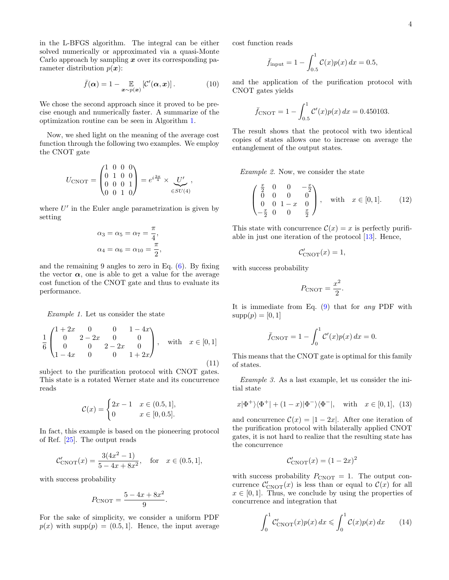in the L-BFGS algorithm. The integral can be either solved numerically or approximated via a quasi-Monte Carlo approach by sampling  $x$  over its corresponding parameter distribution  $p(x)$ :

$$
\bar{f}(\alpha) = 1 - \mathop{\mathbb{E}}_{\boldsymbol{x} \sim p(\boldsymbol{x})} \left[ \mathcal{C}'(\alpha, \boldsymbol{x}) \right]. \tag{10}
$$

We chose the second approach since it proved to be precise enough and numerically faster. A summarize of the optimization routine can be seen in Algorithm [1.](#page-2-0)

Now, we shed light on the meaning of the average cost function through the following two examples. We employ the CNOT gate

<span id="page-3-0"></span>
$$
U_{\text{CNOT}} = \begin{pmatrix} 1 & 0 & 0 & 0 \\ 0 & 1 & 0 & 0 \\ 0 & 0 & 0 & 1 \\ 0 & 0 & 1 & 0 \end{pmatrix} = e^{i\frac{3\pi}{4}} \times \underbrace{U'}_{\in SU(4)},
$$

where  $U'$  in the Euler angle parametrization is given by setting

$$
\alpha_3 = \alpha_5 = \alpha_7 = \frac{\pi}{4},
$$
  

$$
\alpha_4 = \alpha_6 = \alpha_{10} = \frac{\pi}{2}
$$

,

and the remaining 9 angles to zero in Eq. [\(6\)](#page-1-3). By fixing the vector  $\alpha$ , one is able to get a value for the average cost function of the CNOT gate and thus to evaluate its performance.

Example 1. Let us consider the state

$$
\frac{1}{6} \begin{pmatrix} 1+2x & 0 & 0 & 1-4x \\ 0 & 2-2x & 0 & 0 \\ 0 & 0 & 2-2x & 0 \\ 1-4x & 0 & 0 & 1+2x \end{pmatrix}, \text{ with } x \in [0,1]
$$
\n(11)

subject to the purification protocol with CNOT gates. This state is a rotated Werner state and its concurrence reads

<span id="page-3-1"></span>
$$
\mathcal{C}(x) = \begin{cases} 2x - 1 & x \in (0.5, 1], \\ 0 & x \in [0, 0.5]. \end{cases}
$$

In fact, this example is based on the pioneering protocol of Ref. [\[25\]](#page-10-20). The output reads

$$
\mathcal{C}'_{\text{CNOT}}(x) = \frac{3(4x^2 - 1)}{5 - 4x + 8x^2}, \quad \text{for} \quad x \in (0.5, 1],
$$

with success probability

$$
P_{\text{CNOT}} = \frac{5 - 4x + 8x^2}{9}
$$

.

For the sake of simplicity, we consider a uniform PDF  $p(x)$  with supp $(p) = (0.5, 1]$ . Hence, the input average cost function reads

$$
\bar{f}_{\text{input}} = 1 - \int_{0.5}^{1} \mathcal{C}(x) p(x) \, dx = 0.5,
$$

and the application of the purification protocol with CNOT gates yields

$$
\bar{f}_{\text{CNOT}} = 1 - \int_{0.5}^{1} \mathcal{C}'(x) p(x) \, dx = 0.450103.
$$

The result shows that the protocol with two identical copies of states allows one to increase on average the entanglement of the output states.

Example 2. Now, we consider the state

$$
\begin{pmatrix}\n\frac{x}{2} & 0 & 0 & -\frac{x}{2} \\
0 & 0 & 0 & 0 \\
0 & 0 & 1 - x & 0 \\
-\frac{x}{2} & 0 & 0 & \frac{x}{2}\n\end{pmatrix}, \text{ with } x \in [0, 1]. \quad (12)
$$

This state with concurrence  $\mathcal{C}(x) = x$  is perfectly purifiable in just one iteration of the protocol [\[13\]](#page-10-9). Hence,

$$
\mathcal{C}'_{\text{CNOT}}(x) = 1,
$$

with success probability

$$
P_{\text{CNOT}} = \frac{x^2}{2}.
$$

It is immediate from Eq.  $(9)$  that for any PDF with  $supp(p) = [0, 1]$ 

$$
\bar{f}_{\text{CNOT}} = 1 - \int_0^1 C'(x) p(x) dx = 0.
$$

This means that the CNOT gate is optimal for this family of states.

Example 3. As a last example, let us consider the initial state

$$
x|\Phi^+\rangle\langle\Phi^+| + (1-x)|\Phi^-\rangle\langle\Phi^-|
$$
, with  $x \in [0,1]$ , (13)

and concurrence  $\mathcal{C}(x) = |1 - 2x|$ . After one iteration of the purification protocol with bilaterally applied CNOT gates, it is not hard to realize that the resulting state has the concurrence

$$
\mathcal{C}_{\text{CNOT}}'(x) = (1 - 2x)^2
$$

with success probability  $P_{\text{CNOT}} = 1$ . The output concurrence  $\mathcal{C}_{\text{CNOT}}(x)$  is less than or equal to  $\mathcal{C}(x)$  for all  $x \in [0, 1]$ . Thus, we conclude by using the properties of concurrence and integration that

$$
\int_0^1 C'_{\text{CNOT}}(x) p(x) dx \leqslant \int_0^1 C(x) p(x) dx \qquad (14)
$$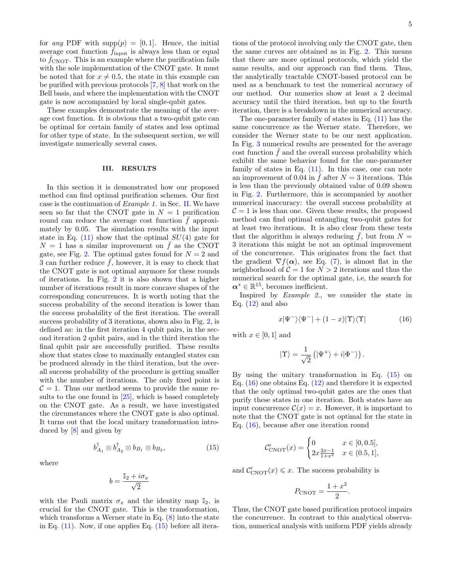for any PDF with  $\text{supp}(p) = [0, 1]$ . Hence, the initial average cost function  $f_{\text{input}}$  is always less than or equal to  $\bar{f}_{\text{CNOT}}$ . This is an example where the purification fails with the sole implementation of the CNOT gate. It must be noted that for  $x \neq 0.5$ , the state in this example can be purified with previous protocols [\[7,](#page-10-3) [8\]](#page-10-8) that work on the Bell basis, and where the implementation with the CNOT gate is now accompanied by local single-qubit gates.

These examples demonstrate the meaning of the average cost function. It is obvious that a two-qubit gate can be optimal for certain family of states and less optimal for other type of state. In the subsequent section, we will investigate numerically several cases.

# <span id="page-4-0"></span>III. RESULTS

In this section it is demonstrated how our proposed method can find optimal purification schemes. Our first case is the continuation of Example 1. in Sec. [II.](#page-0-1) We have seen so far that the CNOT gate in  $N = 1$  purification round can reduce the average cost function  $\bar{f}$  approximately by 0.05. The simulation results with the input state in Eq.  $(11)$  show that the optimal  $SU(4)$  gate for  $N = 1$  has a similar improvement on  $\bar{f}$  as the CNOT gate, see Fig. [2.](#page-5-0) The optimal gates found for  $N = 2$  and 3 can further reduce  $\bar{f}$ , however, it is easy to check that the CNOT gate is not optimal anymore for these rounds of iterations. In Fig. [2](#page-5-0) it is also shown that a higher number of iterations result in more concave shapes of the corresponding concurrences. It is worth noting that the success probability of the second iteration is lower than the success probability of the first iteration. The overall success probability of 3 iterations, shown also in Fig. [2,](#page-5-0) is defined as: in the first iteration 4 qubit pairs, in the second iteration 2 qubit pairs, and in the third iteration the final qubit pair are successfully purified. These results show that states close to maximally entangled states can be produced already in the third iteration, but the overall success probability of the procedure is getting smaller with the number of iterations. The only fixed point is  $\mathcal{C} = 1$ . Thus our method seems to provide the same results to the one found in [\[25\]](#page-10-20), which is based completely on the CNOT gate. As a result, we have investigated the circumstances where the CNOT gate is also optimal. It turns out that the local unitary transformation introduced by [\[8\]](#page-10-8) and given by

where

<span id="page-4-2"></span>
$$
b = \frac{\mathbb{I}_2 + i\sigma_x}{\sqrt{2}}
$$

<span id="page-4-1"></span> $b^\dagger_{A_1}\otimes b^\dagger_{A_2}\otimes b_{B_1}\otimes b_{B_2}$ 

with the Pauli matrix  $\sigma_x$  and the identity map  $\mathbb{I}_2$ , is crucial for the CNOT gate. This is the transformation, which transforms a Werner state in Eq.  $(8)$  into the state in Eq.  $(11)$ . Now, if one applies Eq.  $(15)$  before all itera-

tions of the protocol involving only the CNOT gate, then the same curves are obtained as in Fig. [2.](#page-5-0) This means that there are more optimal protocols, which yield the same results, and our approach can find them. Thus, the analytically tractable CNOT-based protocol can be used as a benchmark to test the numerical accuracy of our method. Our numerics show at least a 2 decimal accuracy until the third iteration, but up to the fourth iteration, there is a breakdown in the numerical accuracy.

The one-parameter family of states in Eq. [\(11\)](#page-3-0) has the same concurrence as the Werner state. Therefore, we consider the Werner state to be our next application. In Fig. [3](#page-5-1) numerical results are presented for the average  $\cot$  function  $f$  and the overall success probability which exhibit the same behavior found for the one-parameter family of states in Eq. [\(11\)](#page-3-0). In this case, one can note an improvement of 0.04 in  $\bar{f}$  after  $N = 3$  iterations. This is less than the previously obtained value of 0.09 shown in Fig. [2.](#page-5-0) Furthermore, this is accompanied by another numerical inaccuracy: the overall success probability at  $C = 1$  is less than one. Given these results, the proposed method can find optimal entangling two-qubit gates for at least two iterations. It is also clear from these tests that the algorithm is always reducing  $\bar{f}$ , but from  $N =$ 3 iterations this might be not an optimal improvement of the concurrence. This originates from the fact that the gradient  $\nabla f(\boldsymbol{\alpha})$ , see Eq. [\(7\)](#page-2-3), is almost flat in the neighborhood of  $C = 1$  for  $N > 2$  iterations and thus the numerical search for the optimal gate, i.e, the search for  $\boldsymbol{\alpha}^* \in \mathbb{R}^{15}$ , becomes inefficient.

Inspired by Example 2., we consider the state in Eq.  $(12)$  and also

$$
x|\Psi^{-}\rangle\langle\Psi^{-}|+(1-x)|\Upsilon\rangle\langle\Upsilon| \qquad (16)
$$

with  $x \in [0, 1]$  and

 $(15)$ 

<span id="page-4-3"></span>
$$
|\Upsilon\rangle = \frac{1}{\sqrt{2}} \left( |\Psi^+ \rangle + i |\Phi^- \rangle \right).
$$

By using the unitary transformation in Eq.  $(15)$  on Eq.  $(16)$  one obtains Eq.  $(12)$  and therefore it is expected that the only optimal two-qubit gates are the ones that purify these states in one iteration. Both states have an input concurrence  $\mathcal{C}(x) = x$ . However, it is important to note that the CNOT gate is not optimal for the state in Eq. [\(16\)](#page-4-2), because after one iteration round

$$
\mathcal{C}'_{\text{CNOT}}(x) = \begin{cases} 0 & x \in [0, 0.5], \\ 2x \frac{2x - 1}{1 + x^2} & x \in (0.5, 1], \end{cases}
$$

and  $C'_{\text{CNOT}}(x) \leq x$ . The success probability is

$$
P_{\text{CNOT}} = \frac{1+x^2}{2}.
$$

Thus, the CNOT gate based purification protocol impairs the concurrence. In contrast to this analytical observation, numerical analysis with uniform PDF yields already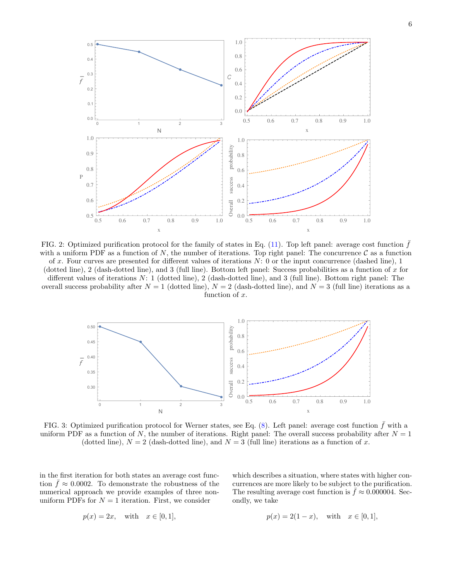<span id="page-5-0"></span>

FIG. 2: Optimized purification protocol for the family of states in Eq.  $(11)$ . Top left panel: average cost function f with a uniform PDF as a function of N, the number of iterations. Top right panel: The concurrence  $\mathcal C$  as a function of x. Four curves are presented for different values of iterations  $N: 0$  or the input concurrence (dashed line), 1 (dotted line), 2 (dash-dotted line), and 3 (full line). Bottom left panel: Success probabilities as a function of  $x$  for different values of iterations  $N: 1$  (dotted line), 2 (dash-dotted line), and 3 (full line). Bottom right panel: The overall success probability after  $N = 1$  (dotted line),  $N = 2$  (dash-dotted line), and  $N = 3$  (full line) iterations as a function of x.

<span id="page-5-1"></span>

FIG. 3: Optimized purification protocol for Werner states, see Eq.  $(8)$ . Left panel: average cost function f with a uniform PDF as a function of N, the number of iterations. Right panel: The overall success probability after  $N = 1$ (dotted line),  $N = 2$  (dash-dotted line), and  $N = 3$  (full line) iterations as a function of x.

in the first iteration for both states an average cost function  $\bar{f} \approx 0.0002$ . To demonstrate the robustness of the numerical approach we provide examples of three nonuniform PDFs for  $N = 1$  iteration. First, we consider

$$
p(x) = 2x, \quad \text{with} \quad x \in [0, 1],
$$

which describes a situation, where states with higher concurrences are more likely to be subject to the purification. The resulting average cost function is  $\bar{f} \approx 0.000004$ . Secondly, we take

$$
p(x) = 2(1 - x)
$$
, with  $x \in [0, 1]$ ,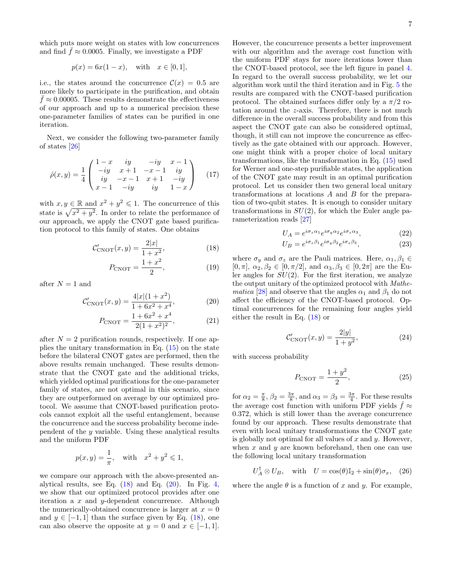which puts more weight on states with low concurrences and find  $\bar{f} \approx 0.0005$ . Finally, we investigate a PDF

$$
p(x) = 6x(1-x)
$$
, with  $x \in [0,1]$ ,

i.e., the states around the concurrence  $\mathcal{C}(x) = 0.5$  are more likely to participate in the purification, and obtain  $f \approx 0.00005$ . These results demonstrate the effectiveness of our approach and up to a numerical precision these one-parameter families of states can be purified in one iteration.

Next, we consider the following two-parameter family of states [\[26\]](#page-10-21)

$$
\hat{\rho}(x,y) = \frac{1}{4} \begin{pmatrix} 1-x & iy & -iy & x-1 \\ -iy & x+1 & -x-1 & iy \\ iy & -x-1 & x+1 & -iy \\ x-1 & -iy & iy & 1-x \end{pmatrix}
$$
 (17)

with  $x, y \in \mathbb{R}$  and  $x^2 + y^2 \leq 1$ . The concurrence of this state is  $\sqrt{x^2 + y^2}$ . In order to relate the performance of our approach, we apply the CNOT gate based purification protocol to this family of states. One obtains

<span id="page-6-0"></span>
$$
\mathcal{C}'_{\text{CNOT}}(x, y) = \frac{2|x|}{1 + x^2},
$$
\n(18)

$$
P_{\text{CNOT}} = \frac{1+x^2}{2},\tag{19}
$$

after  $N = 1$  and

<span id="page-6-1"></span>
$$
\mathcal{C}'_{\text{CNOT}}(x, y) = \frac{4|x|(1+x^2)}{1+6x^2+x^4},\tag{20}
$$

$$
P_{\text{CNOT}} = \frac{1 + 6x^2 + x^4}{2(1 + x^2)^2},\tag{21}
$$

after  $N = 2$  purification rounds, respectively. If one applies the unitary transformation in Eq.  $(15)$  on the state before the bilateral CNOT gates are performed, then the above results remain unchanged. These results demonstrate that the CNOT gate and the additional tricks, which yielded optimal purifications for the one-parameter family of states, are not optimal in this scenario, since they are outperformed on average by our optimized protocol. We assume that CNOT-based purification protocols cannot exploit all the useful entanglement, because the concurrence and the success probability become independent of the y variable. Using these analytical results and the uniform PDF

$$
p(x, y) = \frac{1}{\pi}
$$
, with  $x^2 + y^2 \le 1$ ,

we compare our approach with the above-presented analytical results, see Eq.  $(18)$  and Eq.  $(20)$ . In Fig. [4,](#page-7-1) we show that our optimized protocol provides after one iteration a  $x$  and  $y$ -dependent concurrence. Although the numerically-obtained concurrence is larger at  $x = 0$ and  $y \in [-1, 1]$  than the surface given by Eq. [\(18\)](#page-6-0), one can also observe the opposite at  $y = 0$  and  $x \in [-1, 1]$ .

However, the concurrence presents a better improvement with our algorithm and the average cost function with the uniform PDF stays for more iterations lower than the CNOT-based protocol, see the left figure in panel [4.](#page-7-1) In regard to the overall success probability, we let our algorithm work until the third iteration and in Fig. [5](#page-8-0) the results are compared with the CNOT-based purification protocol. The obtained surfaces differ only by a  $\pi/2$  rotation around the z-axis. Therefore, there is not much difference in the overall success probability and from this aspect the CNOT gate can also be considered optimal, though, it still can not improve the concurrence as effectively as the gate obtained with our approach. However, one might think with a proper choice of local unitary transformations, like the transformation in Eq. [\(15\)](#page-4-1) used for Werner and one-step purifiable states, the application of the CNOT gate may result in an optimal purification protocol. Let us consider then two general local unitary transformations at locations A and B for the preparation of two-qubit states. It is enough to consider unitary transformations in  $SU(2)$ , for which the Euler angle parameterization reads [\[27\]](#page-10-22)

$$
U_A = e^{i\sigma_z \alpha_1} e^{i\sigma_y \alpha_2} e^{i\sigma_z \alpha_3}, \qquad (22)
$$

$$
U_B = e^{i\sigma_z \beta_1} e^{i\sigma_y \beta_2} e^{i\sigma_z \beta_3}, \qquad (23)
$$

where  $\sigma_y$  and  $\sigma_z$  are the Pauli matrices. Here,  $\alpha_1, \beta_1 \in$  $[0, \pi], \ \alpha_2, \beta_2 \in [0, \pi/2], \text{ and } \alpha_3, \beta_3 \in [0, 2\pi] \text{ are the Eu-}$ ler angles for  $SU(2)$ . For the first iteration, we analyze the output unitary of the optimized protocol with Mathe*matica* [\[28\]](#page-10-23) and observe that the angles  $\alpha_1$  and  $\beta_1$  do not affect the efficiency of the CNOT-based protocol. Optimal concurrences for the remaining four angles yield either the result in Eq. [\(18\)](#page-6-0) or

$$
\mathcal{C}'_{\text{CNOT}}(x, y) = \frac{2|y|}{1 + y^2},\tag{24}
$$

with success probability

$$
P_{\text{CNOT}} = \frac{1+y^2}{2},\tag{25}
$$

for  $\alpha_2 = \frac{\pi}{8}$ ,  $\beta_2 = \frac{3\pi}{8}$ , and  $\alpha_3 = \beta_3 = \frac{3\pi}{4}$ . For these results the average cost function with uniform PDF yields  $\bar{f} \approx$ 0.372, which is still lower than the average concurrence found by our approach. These results demonstrate that even with local unitary transformations the CNOT gate is globally not optimal for all values of  $x$  and  $y$ . However, when  $x$  and  $y$  are known beforehand, then one can use the following local unitary transformation

<span id="page-6-2"></span>
$$
U_A^{\dagger} \otimes U_B, \quad \text{with} \quad U = \cos(\theta)\mathbb{I}_2 + \sin(\theta)\sigma_x, \quad (26)
$$

where the angle  $\theta$  is a function of x and y. For example,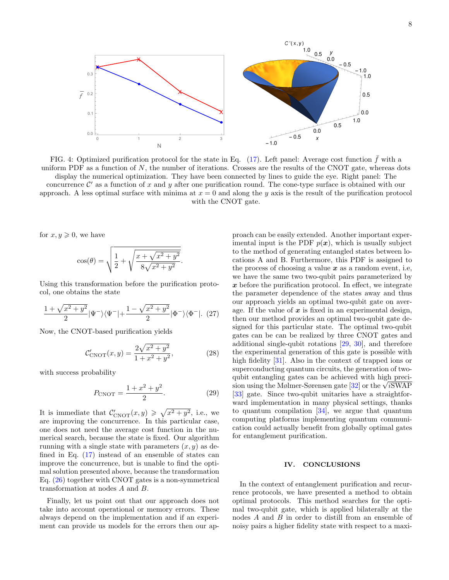<span id="page-7-1"></span>

FIG. 4: Optimized purification protocol for the state in Eq.  $(17)$ . Left panel: Average cost function f with a uniform PDF as a function of  $N$ , the number of iterations. Crosses are the results of the CNOT gate, whereas dots display the numerical optimization. They have been connected by lines to guide the eye. Right panel: The concurrence  $\mathcal{C}'$  as a function of x and y after one purification round. The cone-type surface is obtained with our approach. A less optimal surface with minima at  $x = 0$  and along the y axis is the result of the purification protocol with the CNOT gate.

for  $x, y \geqslant 0$ , we have

$$
\cos(\theta) = \sqrt{\frac{1}{2} + \sqrt{\frac{x + \sqrt{x^2 + y^2}}{8\sqrt{x^2 + y^2}}}}.
$$

Using this transformation before the purification protocol, one obtains the state

$$
\frac{1+\sqrt{x^2+y^2}}{2}|\Psi^-\rangle\langle\Psi^-|+\frac{1-\sqrt{x^2+y^2}}{2}|\Phi^-\rangle\langle\Phi^-|.\tag{27}
$$

Now, the CNOT-based purification yields

$$
\mathcal{C}'_{\text{CNOT}}(x, y) = \frac{2\sqrt{x^2 + y^2}}{1 + x^2 + y^2},\tag{28}
$$

with success probability

$$
P_{\text{CNOT}} = \frac{1 + x^2 + y^2}{2}.
$$
 (29)

It is immediate that  $\mathcal{C}'_{\text{CNOT}}(x, y) \geqslant \sqrt{x^2 + y^2}$ , i.e., we are improving the concurrence. In this particular case, one does not need the average cost function in the numerical search, because the state is fixed. Our algorithm running with a single state with parameters  $(x, y)$  as defined in Eq. [\(17\)](#page-4-3) instead of an ensemble of states can improve the concurrence, but is unable to find the optimal solution presented above, because the transformation Eq. [\(26\)](#page-6-2) together with CNOT gates is a non-symmetrical transformation at nodes A and B.

Finally, let us point out that our approach does not take into account operational or memory errors. These always depend on the implementation and if an experiment can provide us models for the errors then our ap-

proach can be easily extended. Another important experimental input is the PDF  $p(x)$ , which is usually subject to the method of generating entangled states between locations A and B. Furthermore, this PDF is assigned to the process of choosing a value  $x$  as a random event, i.e, we have the same two two-qubit pairs parameterized by  $x$  before the purification protocol. In effect, we integrate the parameter dependence of the states away and thus our approach yields an optimal two-qubit gate on average. If the value of  $x$  is fixed in an experimental design, then our method provides an optimal two-qubit gate designed for this particular state. The optimal two-qubit gates can be can be realized by three CNOT gates and additional single-qubit rotations [\[29,](#page-10-24) [30\]](#page-10-25), and therefore the experimental generation of this gate is possible with high fidelity [\[31\]](#page-10-26). Also in the context of trapped ions or superconducting quantum circuits, the generation of twoqubit entangling gates can be achieved with high preciqubit entangling gates can be achieved with high precision using the Mølmer-Sørensen gate  $[32]$  or the  $\sqrt{i}$ SWAP [\[33\]](#page-10-28) gate. Since two-qubit unitaries have a straightforward implementation in many physical settings, thanks to quantum compilation  $[34]$ , we argue that quantum computing platforms implementing quantum communication could actually benefit from globally optimal gates for entanglement purification.

## <span id="page-7-0"></span>IV. CONCLUSIONS

In the context of entanglement purification and recurrence protocols, we have presented a method to obtain optimal protocols. This method searches for the optimal two-qubit gate, which is applied bilaterally at the nodes A and B in order to distill from an ensemble of noisy pairs a higher fidelity state with respect to a maxi-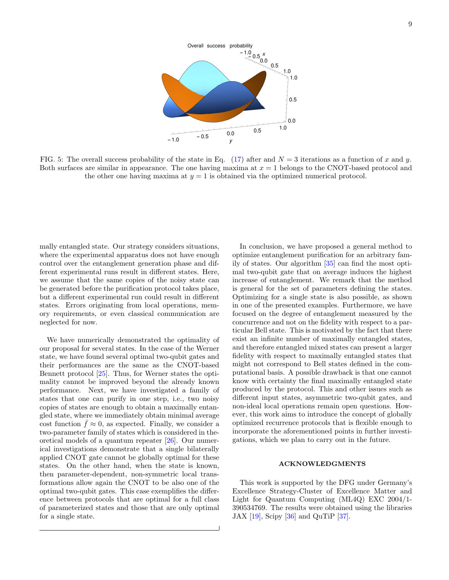<span id="page-8-0"></span>

FIG. 5: The overall success probability of the state in Eq.  $(17)$  after and  $N = 3$  iterations as a function of x and y. Both surfaces are similar in appearance. The one having maxima at  $x = 1$  belongs to the CNOT-based protocol and the other one having maxima at  $y = 1$  is obtained via the optimized numerical protocol.

mally entangled state. Our strategy considers situations, where the experimental apparatus does not have enough control over the entanglement generation phase and different experimental runs result in different states. Here, we assume that the same copies of the noisy state can be generated before the purification protocol takes place, but a different experimental run could result in different states. Errors originating from local operations, memory requirements, or even classical communication are neglected for now.

We have numerically demonstrated the optimality of our proposal for several states. In the case of the Werner state, we have found several optimal two-qubit gates and their performances are the same as the CNOT-based Bennett protocol [\[25\]](#page-10-20). Thus, for Werner states the optimality cannot be improved beyond the already known performance. Next, we have investigated a family of states that one can purify in one step, i.e., two noisy copies of states are enough to obtain a maximally entangled state, where we immediately obtain minimal average cost function  $\bar{f} \approx 0$ , as expected. Finally, we consider a two-parameter family of states which is considered in theoretical models of a quantum repeater [\[26\]](#page-10-21). Our numerical investigations demonstrate that a single bilaterally applied CNOT gate cannot be globally optimal for these states. On the other hand, when the state is known, then parameter-dependent, non-symmetric local transformations allow again the CNOT to be also one of the optimal two-qubit gates. This case exemplifies the difference between protocols that are optimal for a full class of parameterized states and those that are only optimal for a single state.

In conclusion, we have proposed a general method to optimize entanglement purification for an arbitrary family of states. Our algorithm [\[35\]](#page-10-30) can find the most optimal two-qubit gate that on average induces the highest increase of entanglement. We remark that the method is general for the set of parameters defining the states. Optimizing for a single state is also possible, as shown in one of the presented examples. Furthermore, we have focused on the degree of entanglement measured by the concurrence and not on the fidelity with respect to a particular Bell state. This is motivated by the fact that there exist an infinite number of maximally entangled states, and therefore entangled mixed states can present a larger fidelity with respect to maximally entangled states that might not correspond to Bell states defined in the computational basis. A possible drawback is that one cannot know with certainty the final maximally entangled state produced by the protocol. This and other issues such as different input states, asymmetric two-qubit gates, and non-ideal local operations remain open questions. However, this work aims to introduce the concept of globally optimized recurrence protocols that is flexible enough to incorporate the aforementioned points in further investigations, which we plan to carry out in the future.

# ACKNOWLEDGMENTS

This work is supported by the DFG under Germany's Excellence Strategy-Cluster of Excellence Matter and Light for Quantum Computing (ML4Q) EXC 2004/1- 390534769. The results were obtained using the libraries JAX  $[19]$ , Scipy  $[36]$  and QuTiP  $[37]$ .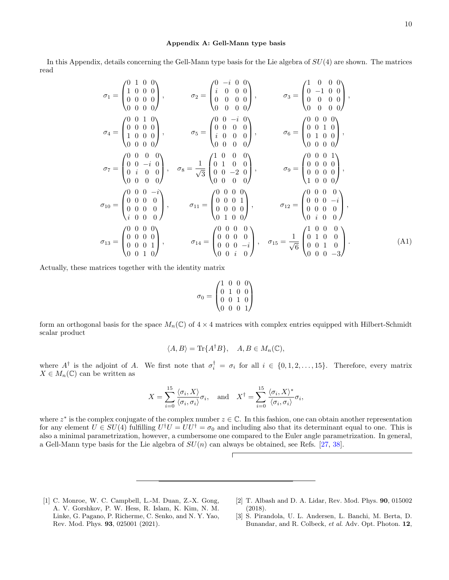### <span id="page-9-3"></span>Appendix A: Gell-Mann type basis

In this Appendix, details concerning the Gell-Mann type basis for the Lie algebra of  $SU(4)$  are shown. The matrices read

$$
\sigma_1 = \begin{pmatrix}\n0 & 1 & 0 & 0 \\
1 & 0 & 0 & 0 \\
0 & 0 & 0 & 0\n\end{pmatrix}, \qquad \sigma_2 = \begin{pmatrix}\n0 & -i & 0 & 0 \\
i & 0 & 0 & 0 \\
0 & 0 & 0 & 0\n\end{pmatrix}, \qquad \sigma_3 = \begin{pmatrix}\n1 & 0 & 0 & 0 \\
0 & -1 & 0 & 0 \\
0 & 0 & 0 & 0\n\end{pmatrix},
$$
  
\n
$$
\sigma_4 = \begin{pmatrix}\n0 & 0 & 1 & 0 \\
0 & 0 & 0 & 0 \\
1 & 0 & 0 & 0\n\end{pmatrix}, \qquad \sigma_5 = \begin{pmatrix}\n0 & 0 & -i & 0 \\
0 & 0 & 0 & 0 \\
i & 0 & 0 & 0\n\end{pmatrix}, \qquad \sigma_6 = \begin{pmatrix}\n0 & 0 & 0 & 0 \\
0 & 0 & 1 & 0 \\
0 & 1 & 0 & 0 \\
0 & 0 & 0 & 0\n\end{pmatrix},
$$
  
\n
$$
\sigma_7 = \begin{pmatrix}\n0 & 0 & 0 & 0 \\
0 & 0 & -i & 0 \\
0 & i & 0 & 0 \\
0 & 0 & 0 & 0\n\end{pmatrix}, \qquad \sigma_8 = \frac{1}{\sqrt{3}} \begin{pmatrix}\n1 & 0 & 0 & 0 \\
0 & 1 & 0 & 0 \\
0 & 0 & -2 & 0 \\
0 & 0 & 0 & 0\n\end{pmatrix}, \qquad \sigma_9 = \begin{pmatrix}\n0 & 0 & 0 & 1 \\
0 & 0 & 0 & 0 \\
0 & 0 & 0 & 0 \\
0 & 0 & 0 & 0 \\
1 & 0 & 0 & 0\n\end{pmatrix},
$$
  
\n
$$
\sigma_{10} = \begin{pmatrix}\n0 & 0 & 0 & -i \\
0 & 0 & 0 & 0 \\
0 & 0 & 0 & 0 \\
i & 0 & 0 & 0\n\end{pmatrix}, \qquad \sigma_{11} = \begin{pmatrix}\n0 & 0 & 0 & 0 \\
0 & 0 & 0 & 1 \\
0 & 0 & 0 & 0 \\
0 & 1 & 0 & 0\n\end{pmatrix}, \qquad \sigma_{12} = \begin{pmatrix}\n0 & 0 & 0 & 0 \\
0 & 0 & 0 & 0 \\
0 & 0 & 0 & 0 \\
0 & 0 &
$$

Actually, these matrices together with the identity matrix

$$
\sigma_0 = \begin{pmatrix} 1 & 0 & 0 & 0 \\ 0 & 1 & 0 & 0 \\ 0 & 0 & 1 & 0 \\ 0 & 0 & 0 & 1 \end{pmatrix}
$$

form an orthogonal basis for the space  $M_n(\mathbb{C})$  of  $4 \times 4$  matrices with complex entries equipped with Hilbert-Schmidt scalar product

$$
\langle A, B \rangle = \text{Tr}\{A^{\dagger}B\}, \quad A, B \in M_n(\mathbb{C}),
$$

where  $A^{\dagger}$  is the adjoint of A. We first note that  $\sigma_i^{\dagger} = \sigma_i$  for all  $i \in \{0, 1, 2, ..., 15\}$ . Therefore, every matrix  $X \in M_n(\mathbb{C})$  can be written as

$$
X = \sum_{i=0}^{15} \frac{\langle \sigma_i, X \rangle}{\langle \sigma_i, \sigma_i \rangle} \sigma_i, \text{ and } X^{\dagger} = \sum_{i=0}^{15} \frac{\langle \sigma_i, X \rangle^*}{\langle \sigma_i, \sigma_i \rangle} \sigma_i,
$$

where  $z^*$  is the complex conjugate of the complex number  $z \in \mathbb{C}$ . In this fashion, one can obtain another representation for any element  $U \in SU(4)$  fulfilling  $U^{\dagger}U = UU^{\dagger} = \sigma_0$  and including also that its determinant equal to one. This is also a minimal parametrization, however, a cumbersome one compared to the Euler angle parametrization. In general, a Gell-Mann type basis for the Lie algebra of  $SU(n)$  can always be obtained, see Refs. [\[27,](#page-10-22) [38\]](#page-10-33).

- <span id="page-9-0"></span>[1] C. Monroe, W. C. Campbell, L.-M. Duan, Z.-X. Gong, A. V. Gorshkov, P. W. Hess, R. Islam, K. Kim, N. M. Linke, G. Pagano, P. Richerme, C. Senko, and N. Y. Yao, Rev. Mod. Phys. 93, 025001 (2021).
- <span id="page-9-1"></span>[2] T. Albash and D. A. Lidar, Rev. Mod. Phys. 90, 015002 (2018).
- <span id="page-9-2"></span>[3] S. Pirandola, U. L. Andersen, L. Banchi, M. Berta, D. Bunandar, and R. Colbeck, et al. Adv. Opt. Photon. 12,